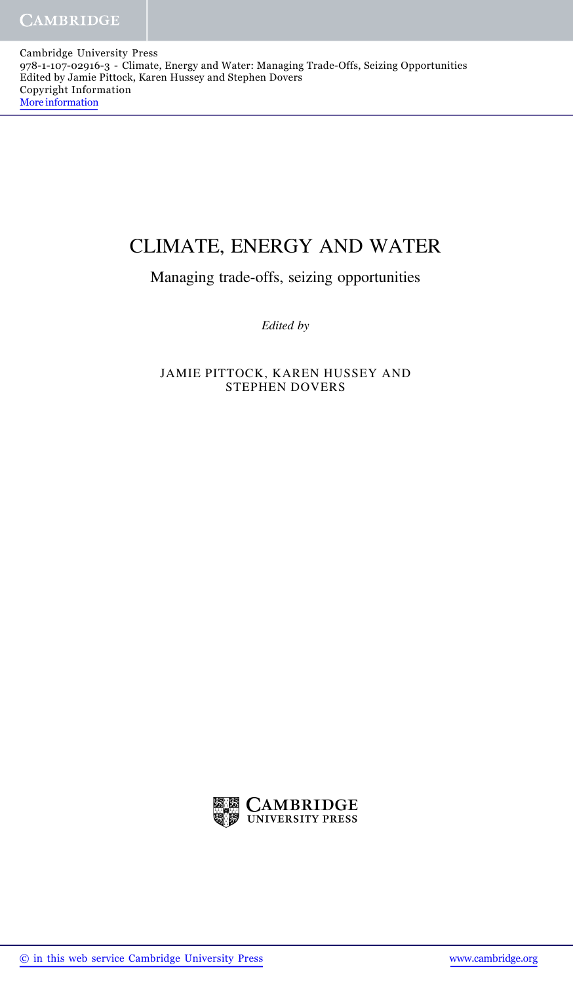Cambridge University Press 978-1-107-02916-3 - Climate, Energy and Water: Managing Trade-Offs, Seizing Opportunities Edited by Jamie Pittock, Karen Hussey and Stephen Dovers Copyright Information More information

## CLIMATE, ENERGY AND WATER

Managing trade-offs, seizing opportunities

Edited by

JAMIE PITTOCK, KAREN HUSSEY AND STEPHEN DOVERS